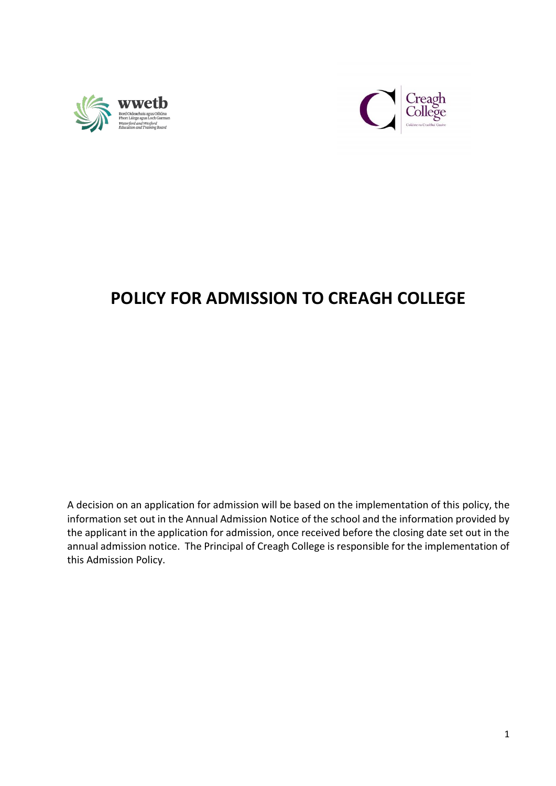



# **POLICY FOR ADMISSION TO CREAGH COLLEGE**

A decision on an application for admission will be based on the implementation of this policy, the information set out in the Annual Admission Notice of the school and the information provided by the applicant in the application for admission, once received before the closing date set out in the annual admission notice. The Principal of Creagh College is responsible for the implementation of this Admission Policy.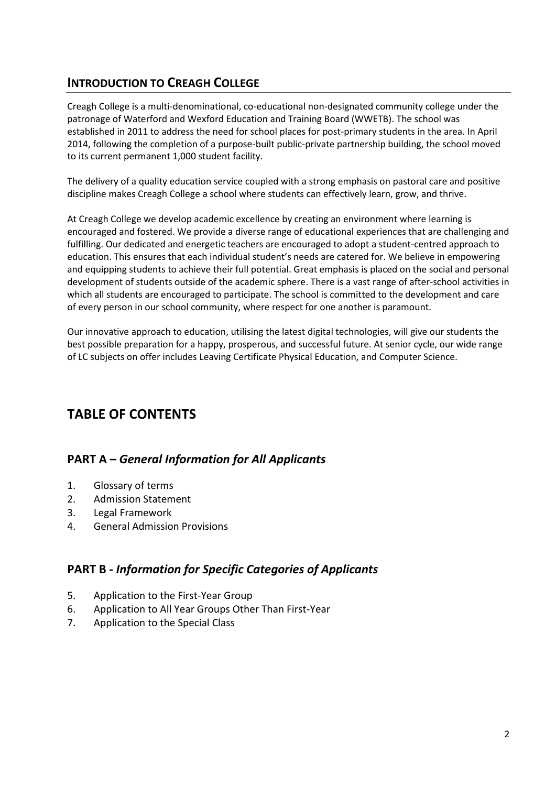## **INTRODUCTION TO CREAGH COLLEGE**

Creagh College is a multi-denominational, co-educational non-designated community college under the patronage of Waterford and Wexford Education and Training Board (WWETB). The school was established in 2011 to address the need for school places for post-primary students in the area. In April 2014, following the completion of a purpose-built public-private partnership building, the school moved to its current permanent 1,000 student facility.

The delivery of a quality education service coupled with a strong emphasis on pastoral care and positive discipline makes Creagh College a school where students can effectively learn, grow, and thrive.

At Creagh College we develop academic excellence by creating an environment where learning is encouraged and fostered. We provide a diverse range of educational experiences that are challenging and fulfilling. Our dedicated and energetic teachers are encouraged to adopt a student-centred approach to education. This ensures that each individual student's needs are catered for. We believe in empowering and equipping students to achieve their full potential. Great emphasis is placed on the social and personal development of students outside of the academic sphere. There is a vast range of after-school activities in which all students are encouraged to participate. The school is committed to the development and care of every person in our school community, where respect for one another is paramount.

Our innovative approach to education, utilising the latest digital technologies, will give our students the best possible preparation for a happy, prosperous, and successful future. At senior cycle, our wide range of LC subjects on offer includes Leaving Certificate Physical Education, and Computer Science.

## **TABLE OF CONTENTS**

### **PART A –** *General Information for All Applicants*

- 1. Glossary of terms
- 2. Admission Statement
- 3. Legal Framework
- 4. General Admission Provisions

### **PART B -** *Information for Specific Categories of Applicants*

- 5. Application to the First-Year Group
- 6. Application to All Year Groups Other Than First-Year
- 7. Application to the Special Class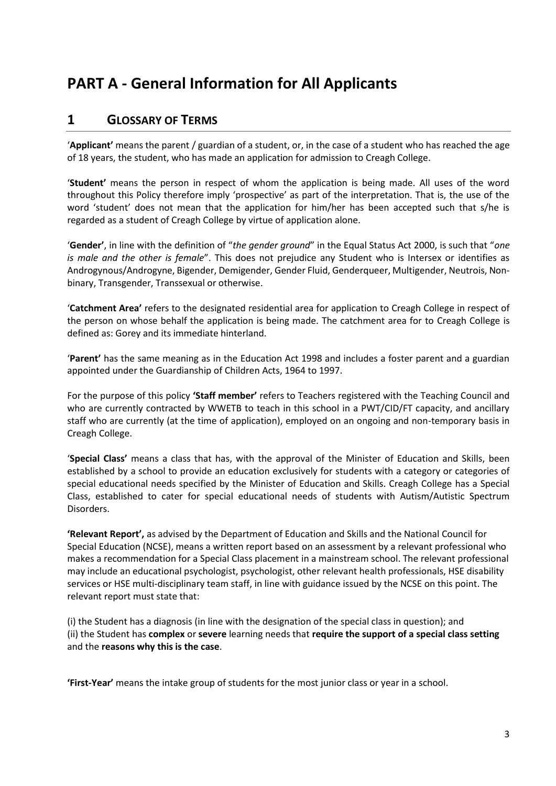# **PART A - General Information for All Applicants**

### **1 GLOSSARY OF TERMS**

'**Applicant'** means the parent / guardian of a student, or, in the case of a student who has reached the age of 18 years, the student, who has made an application for admission to Creagh College.

'**Student'** means the person in respect of whom the application is being made. All uses of the word throughout this Policy therefore imply 'prospective' as part of the interpretation. That is, the use of the word 'student' does not mean that the application for him/her has been accepted such that s/he is regarded as a student of Creagh College by virtue of application alone.

'**Gender'**, in line with the definition of "*the gender ground*" in the Equal Status Act 2000, is such that "*one is male and the other is female*". This does not prejudice any Student who is Intersex or identifies as Androgynous/Androgyne, Bigender, Demigender, Gender Fluid, Genderqueer, Multigender, Neutrois, Nonbinary, Transgender, Transsexual or otherwise.

'**Catchment Area'** refers to the designated residential area for application to Creagh College in respect of the person on whose behalf the application is being made. The catchment area for to Creagh College is defined as: Gorey and its immediate hinterland.

'**Parent'** has the same meaning as in the Education Act 1998 and includes a foster parent and a guardian appointed under the Guardianship of Children Acts, 1964 to 1997.

For the purpose of this policy **'Staff member'** refers to Teachers registered with the Teaching Council and who are currently contracted by WWETB to teach in this school in a PWT/CID/FT capacity, and ancillary staff who are currently (at the time of application), employed on an ongoing and non-temporary basis in Creagh College.

'**Special Class'** means a class that has, with the approval of the Minister of Education and Skills, been established by a school to provide an education exclusively for students with a category or categories of special educational needs specified by the Minister of Education and Skills. Creagh College has a Special Class, established to cater for special educational needs of students with Autism/Autistic Spectrum Disorders.

**'Relevant Report',** as advised by the Department of Education and Skills and the National Council for Special Education (NCSE), means a written report based on an assessment by a relevant professional who makes a recommendation for a Special Class placement in a mainstream school. The relevant professional may include an educational psychologist, psychologist, other relevant health professionals, HSE disability services or HSE multi-disciplinary team staff, in line with guidance issued by the NCSE on this point. The relevant report must state that:

(i) the Student has a diagnosis (in line with the designation of the special class in question); and (ii) the Student has **complex** or **severe** learning needs that **require the support of a special class setting** and the **reasons why this is the case**.

**'First-Year'** means the intake group of students for the most junior class or year in a school.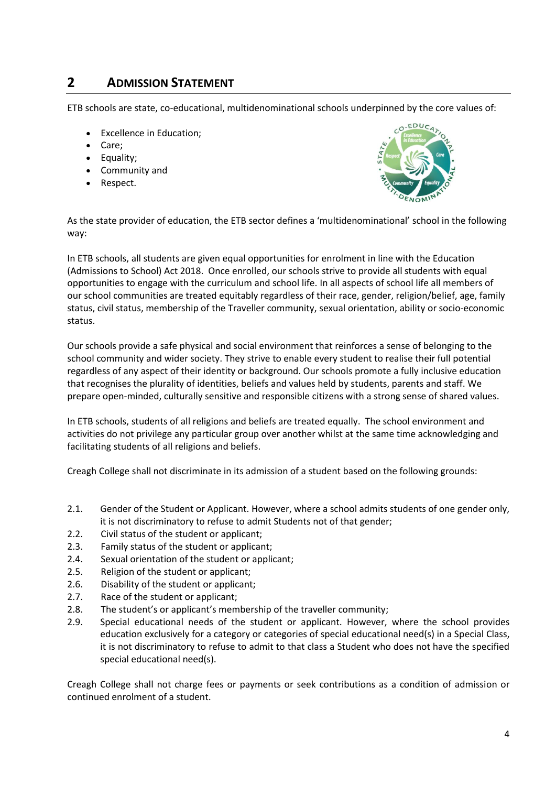## **2 ADMISSION STATEMENT**

ETB schools are state, co-educational, multidenominational schools underpinned by the core values of:

- Excellence in Education;
- Care;
- Equality;
- Community and
- Respect.



As the state provider of education, the ETB sector defines a 'multidenominational' school in the following way:

In ETB schools, all students are given equal opportunities for enrolment in line with the Education (Admissions to School) Act 2018. Once enrolled, our schools strive to provide all students with equal opportunities to engage with the curriculum and school life. In all aspects of school life all members of our school communities are treated equitably regardless of their race, gender, religion/belief, age, family status, civil status, membership of the Traveller community, sexual orientation, ability or socio-economic status.

Our schools provide a safe physical and social environment that reinforces a sense of belonging to the school community and wider society. They strive to enable every student to realise their full potential regardless of any aspect of their identity or background. Our schools promote a fully inclusive education that recognises the plurality of identities, beliefs and values held by students, parents and staff. We prepare open-minded, culturally sensitive and responsible citizens with a strong sense of shared values.

In ETB schools, students of all religions and beliefs are treated equally. The school environment and activities do not privilege any particular group over another whilst at the same time acknowledging and facilitating students of all religions and beliefs.

Creagh College shall not discriminate in its admission of a student based on the following grounds:

- 2.1. Gender of the Student or Applicant. However, where a school admits students of one gender only, it is not discriminatory to refuse to admit Students not of that gender;
- 2.2. Civil status of the student or applicant;
- 2.3. Family status of the student or applicant;
- 2.4. Sexual orientation of the student or applicant;
- 2.5. Religion of the student or applicant;
- 2.6. Disability of the student or applicant;
- 2.7. Race of the student or applicant;
- 2.8. The student's or applicant's membership of the traveller community;
- 2.9. Special educational needs of the student or applicant. However, where the school provides education exclusively for a category or categories of special educational need(s) in a Special Class, it is not discriminatory to refuse to admit to that class a Student who does not have the specified special educational need(s).

Creagh College shall not charge fees or payments or seek contributions as a condition of admission or continued enrolment of a student.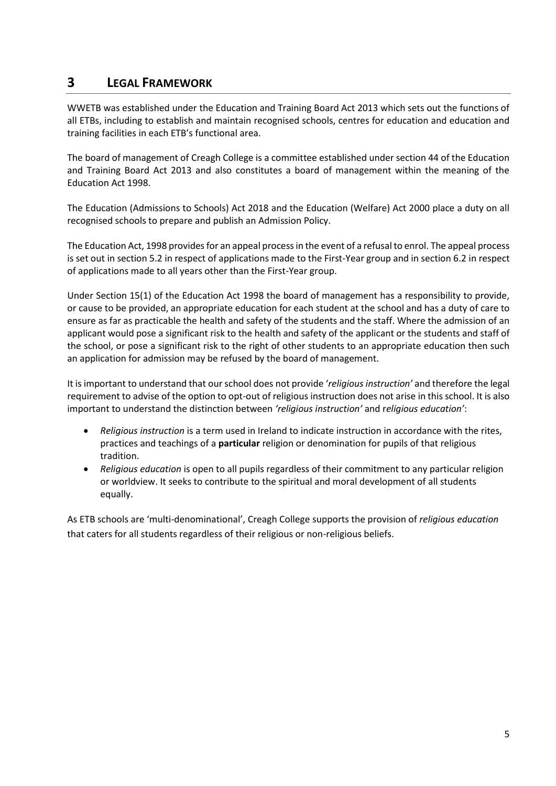## **3 LEGAL FRAMEWORK**

WWETB was established under the Education and Training Board Act 2013 which sets out the functions of all ETBs, including to establish and maintain recognised schools, centres for education and education and training facilities in each ETB's functional area.

The board of management of Creagh College is a committee established under section 44 of the Education and Training Board Act 2013 and also constitutes a board of management within the meaning of the Education Act 1998.

The Education (Admissions to Schools) Act 2018 and the Education (Welfare) Act 2000 place a duty on all recognised schools to prepare and publish an Admission Policy.

The Education Act, 1998 provides for an appeal process in the event of a refusal to enrol. The appeal process is set out in section 5.2 in respect of applications made to the First-Year group and in section 6.2 in respect of applications made to all years other than the First-Year group.

Under Section 15(1) of the Education Act 1998 the board of management has a responsibility to provide, or cause to be provided, an appropriate education for each student at the school and has a duty of care to ensure as far as practicable the health and safety of the students and the staff. Where the admission of an applicant would pose a significant risk to the health and safety of the applicant or the students and staff of the school, or pose a significant risk to the right of other students to an appropriate education then such an application for admission may be refused by the board of management.

It is important to understand that our school does not provide '*religious instruction'* and therefore the legal requirement to advise of the option to opt-out of religious instruction does not arise in this school. It is also important to understand the distinction between *'religious instruction'* and r*eligious education'*:

- *Religious instruction* is a term used in Ireland to indicate instruction in accordance with the rites, practices and teachings of a **particular** religion or denomination for pupils of that religious tradition.
- *Religious education* is open to all pupils regardless of their commitment to any particular religion or worldview. It seeks to contribute to the spiritual and moral development of all students equally.

As ETB schools are 'multi-denominational', Creagh College supports the provision of *religious education*  that caters for all students regardless of their religious or non-religious beliefs.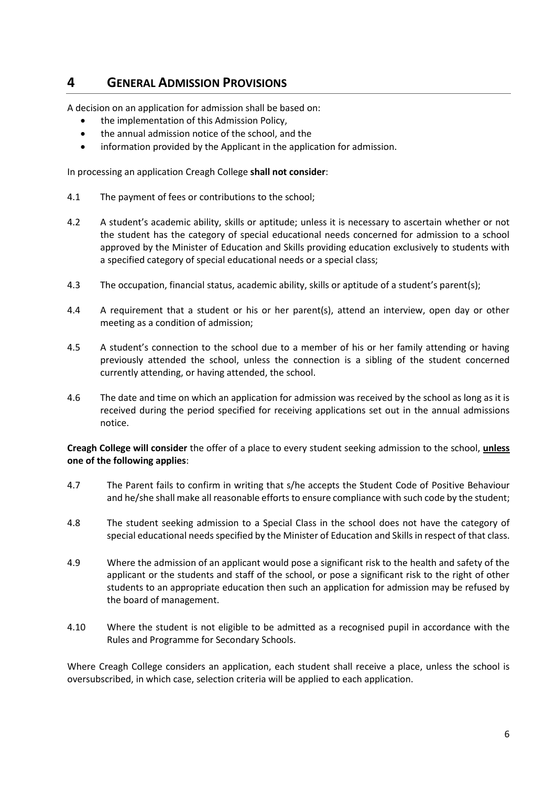## **4 GENERAL ADMISSION PROVISIONS**

A decision on an application for admission shall be based on:

- the implementation of this Admission Policy,
- the annual admission notice of the school, and the
- information provided by the Applicant in the application for admission.

In processing an application Creagh College **shall not consider**:

- 4.1 The payment of fees or contributions to the school;
- 4.2 A student's academic ability, skills or aptitude; unless it is necessary to ascertain whether or not the student has the category of special educational needs concerned for admission to a school approved by the Minister of Education and Skills providing education exclusively to students with a specified category of special educational needs or a special class;
- 4.3 The occupation, financial status, academic ability, skills or aptitude of a student's parent(s);
- 4.4 A requirement that a student or his or her parent(s), attend an interview, open day or other meeting as a condition of admission;
- 4.5 A student's connection to the school due to a member of his or her family attending or having previously attended the school, unless the connection is a sibling of the student concerned currently attending, or having attended, the school.
- 4.6 The date and time on which an application for admission was received by the school as long as it is received during the period specified for receiving applications set out in the annual admissions notice.

**Creagh College will consider** the offer of a place to every student seeking admission to the school, **unless one of the following applies**:

- 4.7 The Parent fails to confirm in writing that s/he accepts the Student Code of Positive Behaviour and he/she shall make all reasonable efforts to ensure compliance with such code by the student;
- 4.8 The student seeking admission to a Special Class in the school does not have the category of special educational needs specified by the Minister of Education and Skills in respect of that class.
- 4.9 Where the admission of an applicant would pose a significant risk to the health and safety of the applicant or the students and staff of the school, or pose a significant risk to the right of other students to an appropriate education then such an application for admission may be refused by the board of management.
- 4.10 Where the student is not eligible to be admitted as a recognised pupil in accordance with the Rules and Programme for Secondary Schools.

Where Creagh College considers an application, each student shall receive a place, unless the school is oversubscribed, in which case, selection criteria will be applied to each application.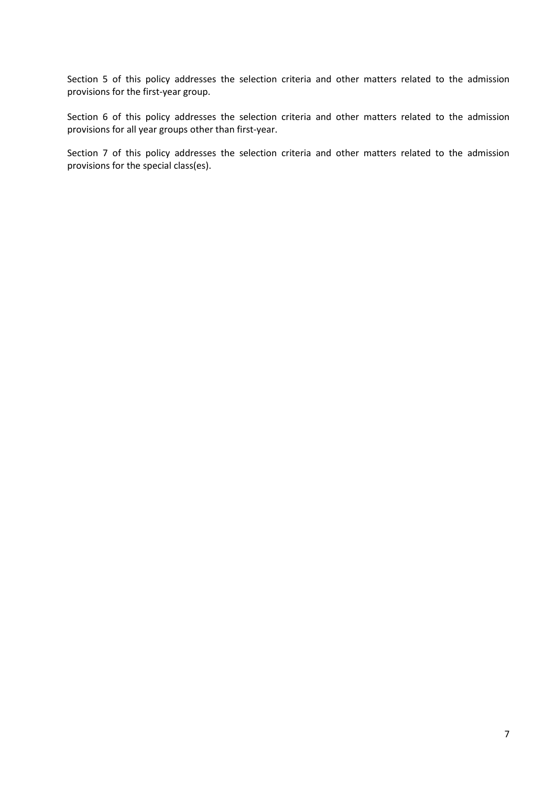Section 5 of this policy addresses the selection criteria and other matters related to the admission provisions for the first-year group.

Section 6 of this policy addresses the selection criteria and other matters related to the admission provisions for all year groups other than first-year.

Section 7 of this policy addresses the selection criteria and other matters related to the admission provisions for the special class(es).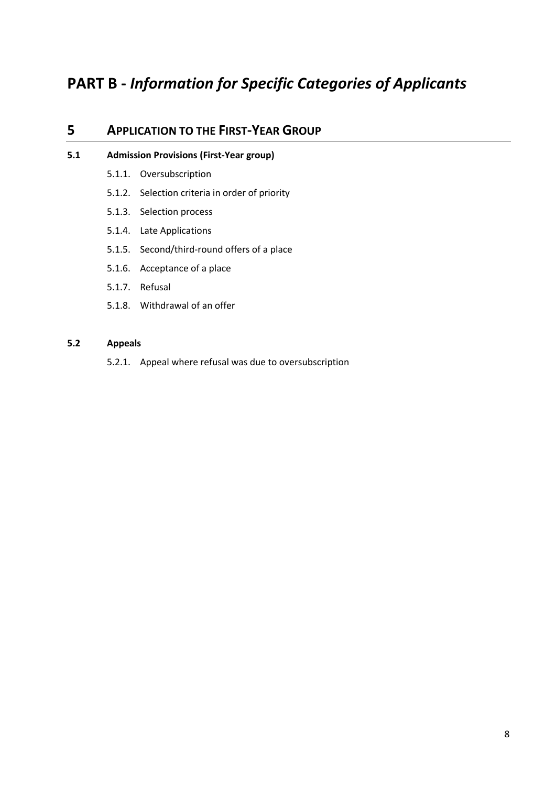# **PART B -** *Information for Specific Categories of Applicants*

### **5 APPLICATION TO THE FIRST-YEAR GROUP**

#### **5.1 Admission Provisions (First-Year group)**

- 5.1.1. Oversubscription
- 5.1.2. Selection criteria in order of priority
- 5.1.3. Selection process
- 5.1.4. Late Applications
- 5.1.5. Second/third-round offers of a place
- 5.1.6. Acceptance of a place
- 5.1.7. Refusal
- 5.1.8. Withdrawal of an offer

#### **5.2 Appeals**

5.2.1. Appeal where refusal was due to oversubscription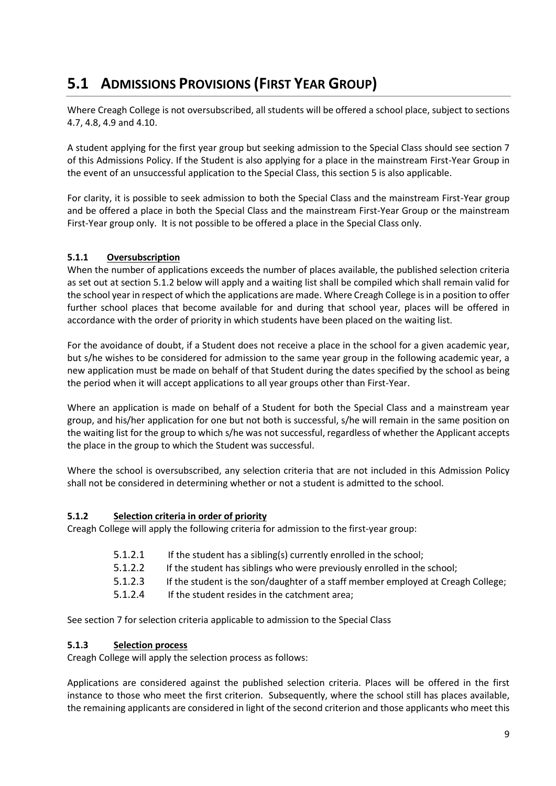# **5.1 ADMISSIONS PROVISIONS (FIRST YEAR GROUP)**

Where Creagh College is not oversubscribed, all students will be offered a school place, subject to sections 4.7, 4.8, 4.9 and 4.10.

A student applying for the first year group but seeking admission to the Special Class should see section 7 of this Admissions Policy. If the Student is also applying for a place in the mainstream First-Year Group in the event of an unsuccessful application to the Special Class, this section 5 is also applicable.

For clarity, it is possible to seek admission to both the Special Class and the mainstream First-Year group and be offered a place in both the Special Class and the mainstream First-Year Group or the mainstream First-Year group only. It is not possible to be offered a place in the Special Class only.

#### **5.1.1 Oversubscription**

When the number of applications exceeds the number of places available, the published selection criteria as set out at section 5.1.2 below will apply and a waiting list shall be compiled which shall remain valid for the school year in respect of which the applications are made. Where Creagh College is in a position to offer further school places that become available for and during that school year, places will be offered in accordance with the order of priority in which students have been placed on the waiting list.

For the avoidance of doubt, if a Student does not receive a place in the school for a given academic year, but s/he wishes to be considered for admission to the same year group in the following academic year, a new application must be made on behalf of that Student during the dates specified by the school as being the period when it will accept applications to all year groups other than First-Year.

Where an application is made on behalf of a Student for both the Special Class and a mainstream year group, and his/her application for one but not both is successful, s/he will remain in the same position on the waiting list for the group to which s/he was not successful, regardless of whether the Applicant accepts the place in the group to which the Student was successful.

Where the school is oversubscribed, any selection criteria that are not included in this Admission Policy shall not be considered in determining whether or not a student is admitted to the school.

#### **5.1.2 Selection criteria in order of priority**

Creagh College will apply the following criteria for admission to the first-year group:

- 5.1.2.1 If the student has a sibling(s) currently enrolled in the school;
- 5.1.2.2 If the student has siblings who were previously enrolled in the school;
- 5.1.2.3 If the student is the son/daughter of a staff member employed at Creagh College;
- 5.1.2.4 If the student resides in the catchment area;

See section 7 for selection criteria applicable to admission to the Special Class

#### **5.1.3 Selection process**

Creagh College will apply the selection process as follows:

Applications are considered against the published selection criteria. Places will be offered in the first instance to those who meet the first criterion. Subsequently, where the school still has places available, the remaining applicants are considered in light of the second criterion and those applicants who meet this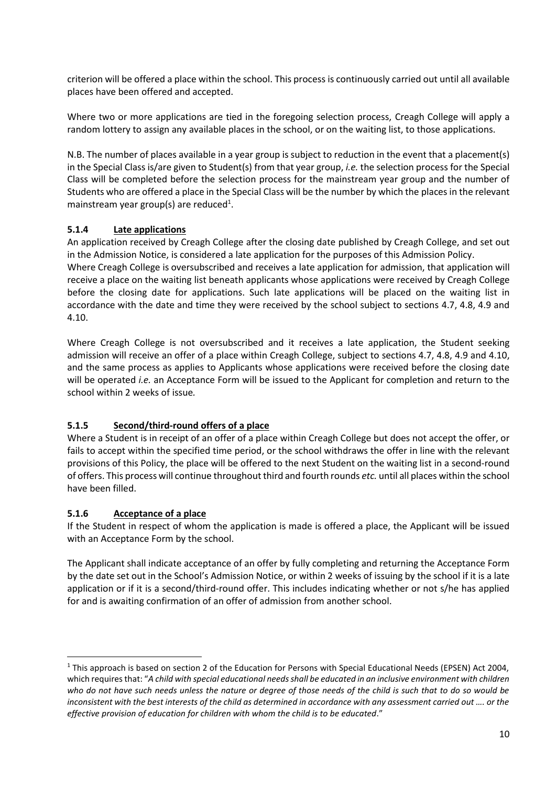criterion will be offered a place within the school. This process is continuously carried out until all available places have been offered and accepted.

Where two or more applications are tied in the foregoing selection process, Creagh College will apply a random lottery to assign any available places in the school, or on the waiting list, to those applications.

N.B. The number of places available in a year group is subject to reduction in the event that a placement(s) in the Special Class is/are given to Student(s) from that year group, *i.e.* the selection process for the Special Class will be completed before the selection process for the mainstream year group and the number of Students who are offered a place in the Special Class will be the number by which the places in the relevant mainstream year group(s) are reduced<sup>1</sup>.

#### **5.1.4 Late applications**

An application received by Creagh College after the closing date published by Creagh College, and set out in the Admission Notice, is considered a late application for the purposes of this Admission Policy. Where Creagh College is oversubscribed and receives a late application for admission, that application will receive a place on the waiting list beneath applicants whose applications were received by Creagh College before the closing date for applications. Such late applications will be placed on the waiting list in accordance with the date and time they were received by the school subject to sections 4.7, 4.8, 4.9 and 4.10.

Where Creagh College is not oversubscribed and it receives a late application, the Student seeking admission will receive an offer of a place within Creagh College, subject to sections 4.7, 4.8, 4.9 and 4.10, and the same process as applies to Applicants whose applications were received before the closing date will be operated *i.e.* an Acceptance Form will be issued to the Applicant for completion and return to the school within 2 weeks of issue*.*

#### **5.1.5 Second/third-round offers of a place**

Where a Student is in receipt of an offer of a place within Creagh College but does not accept the offer, or fails to accept within the specified time period, or the school withdraws the offer in line with the relevant provisions of this Policy, the place will be offered to the next Student on the waiting list in a second-round of offers. This process will continue throughout third and fourth rounds *etc.* until all places within the school have been filled.

#### **5.1.6 Acceptance of a place**

If the Student in respect of whom the application is made is offered a place, the Applicant will be issued with an Acceptance Form by the school.

The Applicant shall indicate acceptance of an offer by fully completing and returning the Acceptance Form by the date set out in the School's Admission Notice, or within 2 weeks of issuing by the school if it is a late application or if it is a second/third-round offer. This includes indicating whether or not s/he has applied for and is awaiting confirmation of an offer of admission from another school.

 $1$  This approach is based on section 2 of the Education for Persons with Special Educational Needs (EPSEN) Act 2004, which requires that: "*A child with special educational needs shall be educated in an inclusive environment with children who do not have such needs unless the nature or degree of those needs of the child is such that to do so would be inconsistent with the best interests of the child as determined in accordance with any assessment carried out …. or the effective provision of education for children with whom the child is to be educated*."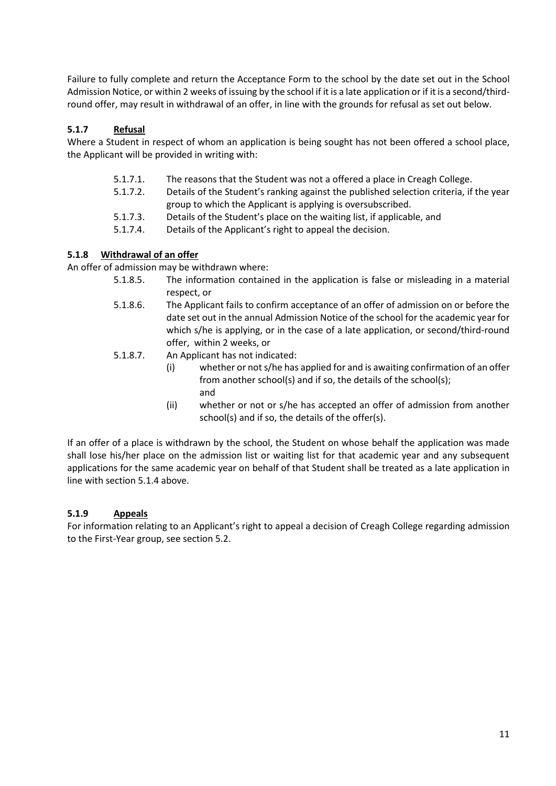Failure to fully complete and return the Acceptance Form to the school by the date set out in the School Admission Notice, or within 2 weeks of issuing by the school if it is a late application or if it is a second/thirdround offer, may result in withdrawal of an offer, in line with the grounds for refusal as set out below.

#### **5.1.7 Refusal**

Where a Student in respect of whom an application is being sought has not been offered a school place, the Applicant will be provided in writing with:

- 5.1.7.1. The reasons that the Student was not a offered a place in Creagh College.
- 5.1.7.2. Details of the Student's ranking against the published selection criteria, if the year group to which the Applicant is applying is oversubscribed.
- 5.1.7.3. Details of the Student's place on the waiting list, if applicable, and
- 5.1.7.4. Details of the Applicant's right to appeal the decision.

#### **5.1.8 Withdrawal of an offer**

An offer of admission may be withdrawn where:

- 5.1.8.5. The information contained in the application is false or misleading in a material respect, or
- 5.1.8.6. The Applicant fails to confirm acceptance of an offer of admission on or before the date set out in the annual Admission Notice of the school for the academic year for which s/he is applying, or in the case of a late application, or second/third-round offer, within 2 weeks, or
- 5.1.8.7. An Applicant has not indicated:
	- (i) whether or not s/he has applied for and is awaiting confirmation of an offer from another school(s) and if so, the details of the school(s); and
	- (ii) whether or not or s/he has accepted an offer of admission from another school(s) and if so, the details of the offer(s).

If an offer of a place is withdrawn by the school, the Student on whose behalf the application was made shall lose his/her place on the admission list or waiting list for that academic year and any subsequent applications for the same academic year on behalf of that Student shall be treated as a late application in line with section 5.1.4 above.

#### **5.1.9 Appeals**

For information relating to an Applicant's right to appeal a decision of Creagh College regarding admission to the First-Year group, see section 5.2.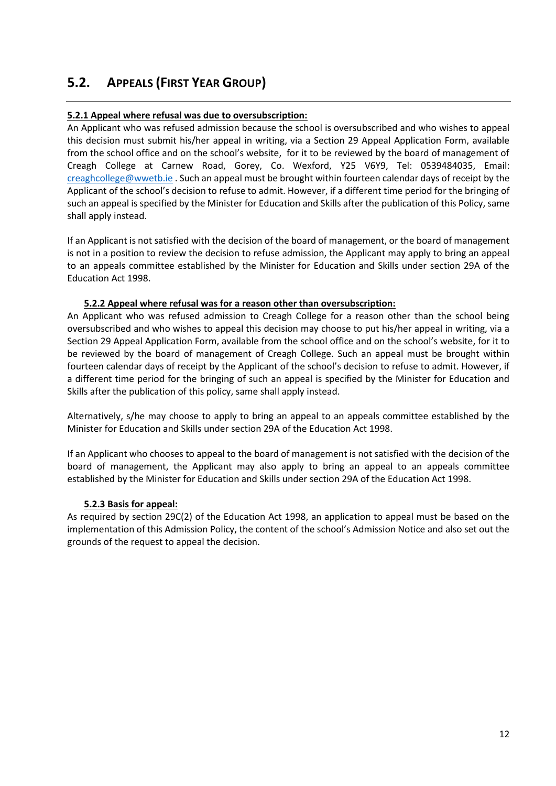## **5.2. APPEALS (FIRST YEAR GROUP)**

#### **5.2.1 Appeal where refusal was due to oversubscription:**

An Applicant who was refused admission because the school is oversubscribed and who wishes to appeal this decision must submit his/her appeal in writing, via a Section 29 Appeal Application Form, available from the school office and on the school's website, for it to be reviewed by the board of management of Creagh College at Carnew Road, Gorey, Co. Wexford, Y25 V6Y9, Tel: 0539484035, Email: [creaghcollege@wwetb.ie](mailto:creaghcollege@wwetb.ie) . Such an appeal must be brought within fourteen calendar days of receipt by the Applicant of the school's decision to refuse to admit. However, if a different time period for the bringing of such an appeal is specified by the Minister for Education and Skills after the publication of this Policy, same shall apply instead.

If an Applicant is not satisfied with the decision of the board of management, or the board of management is not in a position to review the decision to refuse admission, the Applicant may apply to bring an appeal to an appeals committee established by the Minister for Education and Skills under section 29A of the Education Act 1998.

#### **5.2.2 Appeal where refusal was for a reason other than oversubscription:**

An Applicant who was refused admission to Creagh College for a reason other than the school being oversubscribed and who wishes to appeal this decision may choose to put his/her appeal in writing, via a Section 29 Appeal Application Form, available from the school office and on the school's website, for it to be reviewed by the board of management of Creagh College. Such an appeal must be brought within fourteen calendar days of receipt by the Applicant of the school's decision to refuse to admit. However, if a different time period for the bringing of such an appeal is specified by the Minister for Education and Skills after the publication of this policy, same shall apply instead.

Alternatively, s/he may choose to apply to bring an appeal to an appeals committee established by the Minister for Education and Skills under section 29A of the Education Act 1998.

If an Applicant who chooses to appeal to the board of management is not satisfied with the decision of the board of management, the Applicant may also apply to bring an appeal to an appeals committee established by the Minister for Education and Skills under section 29A of the Education Act 1998.

#### **5.2.3 Basis for appeal:**

As required by section 29C(2) of the Education Act 1998, an application to appeal must be based on the implementation of this Admission Policy, the content of the school's Admission Notice and also set out the grounds of the request to appeal the decision.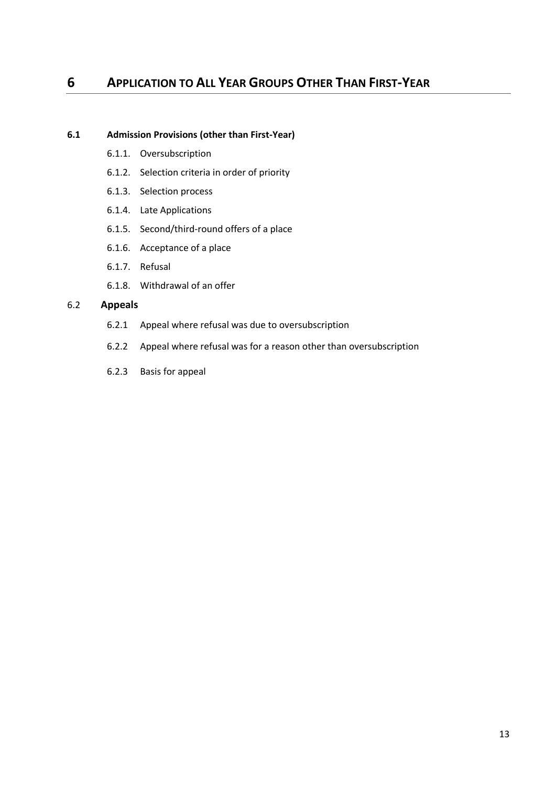### **6 APPLICATION TO ALL YEAR GROUPS OTHER THAN FIRST-YEAR**

#### **6.1 Admission Provisions (other than First-Year)**

- 6.1.1. Oversubscription
- 6.1.2. Selection criteria in order of priority
- 6.1.3. Selection process
- 6.1.4. Late Applications
- 6.1.5. Second/third-round offers of a place
- 6.1.6. Acceptance of a place
- 6.1.7. Refusal
- 6.1.8. Withdrawal of an offer

#### 6.2 **Appeals**

- 6.2.1 Appeal where refusal was due to oversubscription
- 6.2.2 Appeal where refusal was for a reason other than oversubscription
- 6.2.3 Basis for appeal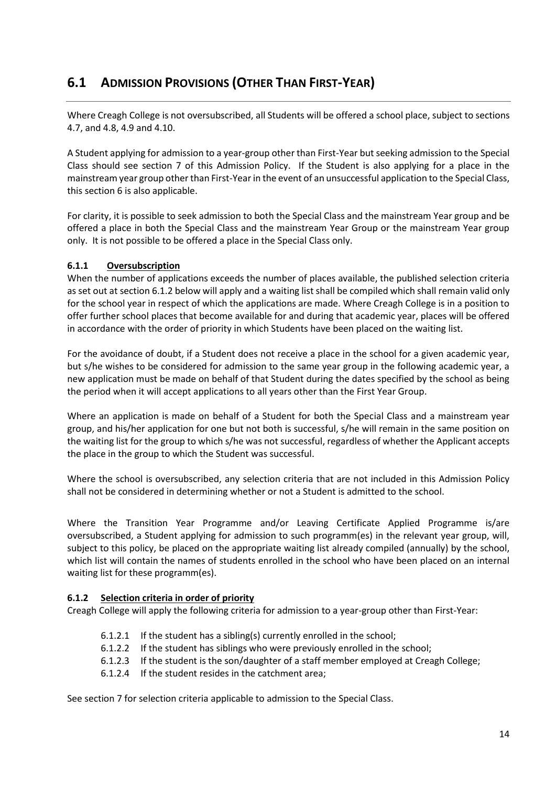## **6.1 ADMISSION PROVISIONS (OTHER THAN FIRST-YEAR)**

Where Creagh College is not oversubscribed, all Students will be offered a school place, subject to sections 4.7, and 4.8, 4.9 and 4.10.

A Student applying for admission to a year-group other than First-Year but seeking admission to the Special Class should see section 7 of this Admission Policy. If the Student is also applying for a place in the mainstream year group other than First-Year in the event of an unsuccessful application to the Special Class, this section 6 is also applicable.

For clarity, it is possible to seek admission to both the Special Class and the mainstream Year group and be offered a place in both the Special Class and the mainstream Year Group or the mainstream Year group only. It is not possible to be offered a place in the Special Class only.

#### **6.1.1 Oversubscription**

When the number of applications exceeds the number of places available, the published selection criteria as set out at section 6.1.2 below will apply and a waiting list shall be compiled which shall remain valid only for the school year in respect of which the applications are made. Where Creagh College is in a position to offer further school places that become available for and during that academic year, places will be offered in accordance with the order of priority in which Students have been placed on the waiting list.

For the avoidance of doubt, if a Student does not receive a place in the school for a given academic year, but s/he wishes to be considered for admission to the same year group in the following academic year, a new application must be made on behalf of that Student during the dates specified by the school as being the period when it will accept applications to all years other than the First Year Group.

Where an application is made on behalf of a Student for both the Special Class and a mainstream year group, and his/her application for one but not both is successful, s/he will remain in the same position on the waiting list for the group to which s/he was not successful, regardless of whether the Applicant accepts the place in the group to which the Student was successful.

Where the school is oversubscribed, any selection criteria that are not included in this Admission Policy shall not be considered in determining whether or not a Student is admitted to the school.

Where the Transition Year Programme and/or Leaving Certificate Applied Programme is/are oversubscribed, a Student applying for admission to such programm(es) in the relevant year group, will, subject to this policy, be placed on the appropriate waiting list already compiled (annually) by the school, which list will contain the names of students enrolled in the school who have been placed on an internal waiting list for these programm(es).

#### **6.1.2 Selection criteria in order of priority**

Creagh College will apply the following criteria for admission to a year-group other than First-Year:

- 6.1.2.1 If the student has a sibling(s) currently enrolled in the school;
- 6.1.2.2 If the student has siblings who were previously enrolled in the school;
- 6.1.2.3 If the student is the son/daughter of a staff member employed at Creagh College;
- 6.1.2.4 If the student resides in the catchment area;

See section 7 for selection criteria applicable to admission to the Special Class.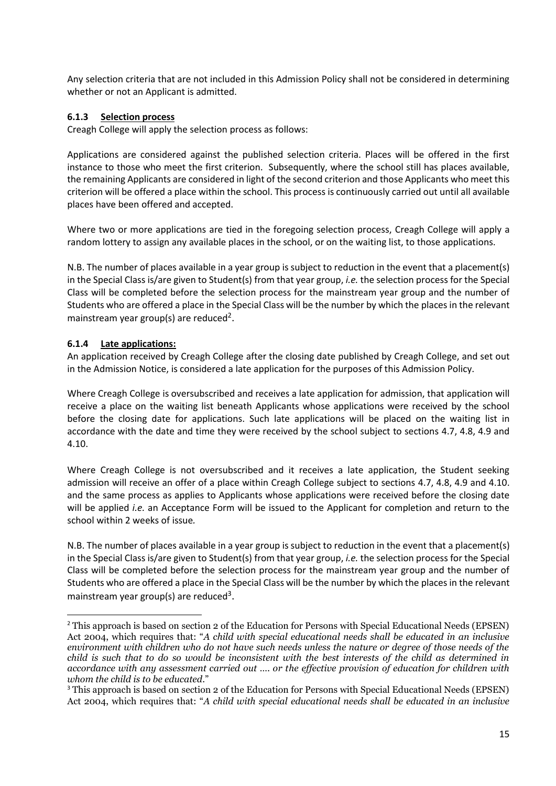Any selection criteria that are not included in this Admission Policy shall not be considered in determining whether or not an Applicant is admitted.

#### **6.1.3 Selection process**

Creagh College will apply the selection process as follows:

Applications are considered against the published selection criteria. Places will be offered in the first instance to those who meet the first criterion. Subsequently, where the school still has places available, the remaining Applicants are considered in light of the second criterion and those Applicants who meet this criterion will be offered a place within the school. This process is continuously carried out until all available places have been offered and accepted.

Where two or more applications are tied in the foregoing selection process, Creagh College will apply a random lottery to assign any available places in the school, or on the waiting list, to those applications.

N.B. The number of places available in a year group is subject to reduction in the event that a placement(s) in the Special Class is/are given to Student(s) from that year group, *i.e.* the selection process for the Special Class will be completed before the selection process for the mainstream year group and the number of Students who are offered a place in the Special Class will be the number by which the places in the relevant mainstream year group(s) are reduced<sup>2</sup>.

#### **6.1.4 Late applications:**

An application received by Creagh College after the closing date published by Creagh College, and set out in the Admission Notice, is considered a late application for the purposes of this Admission Policy.

Where Creagh College is oversubscribed and receives a late application for admission, that application will receive a place on the waiting list beneath Applicants whose applications were received by the school before the closing date for applications. Such late applications will be placed on the waiting list in accordance with the date and time they were received by the school subject to sections 4.7, 4.8, 4.9 and 4.10.

Where Creagh College is not oversubscribed and it receives a late application, the Student seeking admission will receive an offer of a place within Creagh College subject to sections 4.7, 4.8, 4.9 and 4.10. and the same process as applies to Applicants whose applications were received before the closing date will be applied *i.e.* an Acceptance Form will be issued to the Applicant for completion and return to the school within 2 weeks of issue*.*

N.B. The number of places available in a year group is subject to reduction in the event that a placement(s) in the Special Class is/are given to Student(s) from that year group, *i.e.* the selection process for the Special Class will be completed before the selection process for the mainstream year group and the number of Students who are offered a place in the Special Class will be the number by which the places in the relevant mainstream year group(s) are reduced<sup>3</sup>.

<sup>&</sup>lt;sup>2</sup> This approach is based on section 2 of the Education for Persons with Special Educational Needs (EPSEN) Act 2004, which requires that: "*A child with special educational needs shall be educated in an inclusive environment with children who do not have such needs unless the nature or degree of those needs of the child is such that to do so would be inconsistent with the best interests of the child as determined in accordance with any assessment carried out …. or the effective provision of education for children with whom the child is to be educated*."

<sup>&</sup>lt;sup>3</sup> This approach is based on section 2 of the Education for Persons with Special Educational Needs (EPSEN) Act 2004, which requires that: "*A child with special educational needs shall be educated in an inclusive*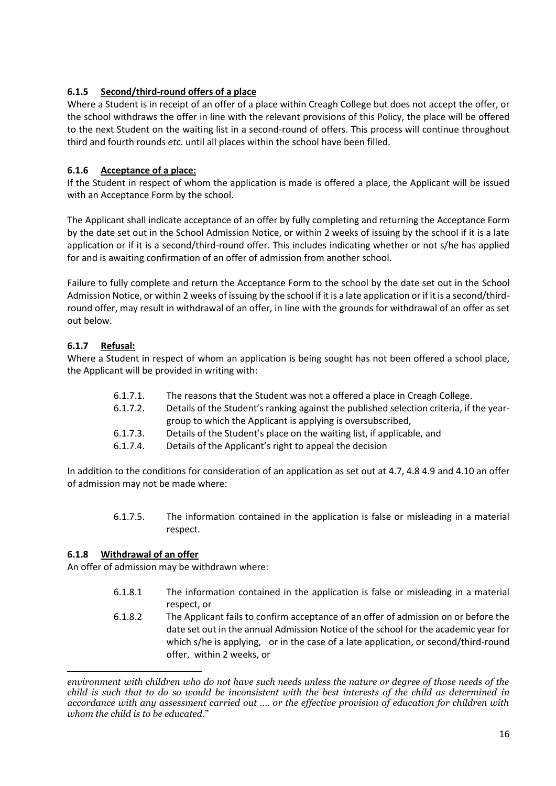#### **6.1.5 Second/third-round offers of a place**

Where a Student is in receipt of an offer of a place within Creagh College but does not accept the offer, or the school withdraws the offer in line with the relevant provisions of this Policy, the place will be offered to the next Student on the waiting list in a second-round of offers. This process will continue throughout third and fourth rounds *etc.* until all places within the school have been filled.

#### **6.1.6 Acceptance of a place:**

If the Student in respect of whom the application is made is offered a place, the Applicant will be issued with an Acceptance Form by the school.

The Applicant shall indicate acceptance of an offer by fully completing and returning the Acceptance Form by the date set out in the School Admission Notice, or within 2 weeks of issuing by the school if it is a late application or if it is a second/third-round offer. This includes indicating whether or not s/he has applied for and is awaiting confirmation of an offer of admission from another school.

Failure to fully complete and return the Acceptance Form to the school by the date set out in the School Admission Notice, or within 2 weeks of issuing by the school if it is a late application or if it is a second/thirdround offer, may result in withdrawal of an offer, in line with the grounds for withdrawal of an offer as set out below.

#### **6.1.7 Refusal:**

Where a Student in respect of whom an application is being sought has not been offered a school place, the Applicant will be provided in writing with:

- 6.1.7.1. The reasons that the Student was not a offered a place in Creagh College.
- 6.1.7.2. Details of the Student's ranking against the published selection criteria, if the yeargroup to which the Applicant is applying is oversubscribed,
- 6.1.7.3. Details of the Student's place on the waiting list, if applicable, and
- 6.1.7.4. Details of the Applicant's right to appeal the decision

In addition to the conditions for consideration of an application as set out at 4.7, 4.8 4.9 and 4.10 an offer of admission may not be made where:

> 6.1.7.5. The information contained in the application is false or misleading in a material respect.

#### **6.1.8 Withdrawal of an offer**

An offer of admission may be withdrawn where:

- 6.1.8.1 The information contained in the application is false or misleading in a material respect, or
- 6.1.8.2 The Applicant fails to confirm acceptance of an offer of admission on or before the date set out in the annual Admission Notice of the school for the academic year for which s/he is applying, or in the case of a late application, or second/third-round offer, within 2 weeks, or

*environment with children who do not have such needs unless the nature or degree of those needs of the child is such that to do so would be inconsistent with the best interests of the child as determined in accordance with any assessment carried out …. or the effective provision of education for children with whom the child is to be educated*."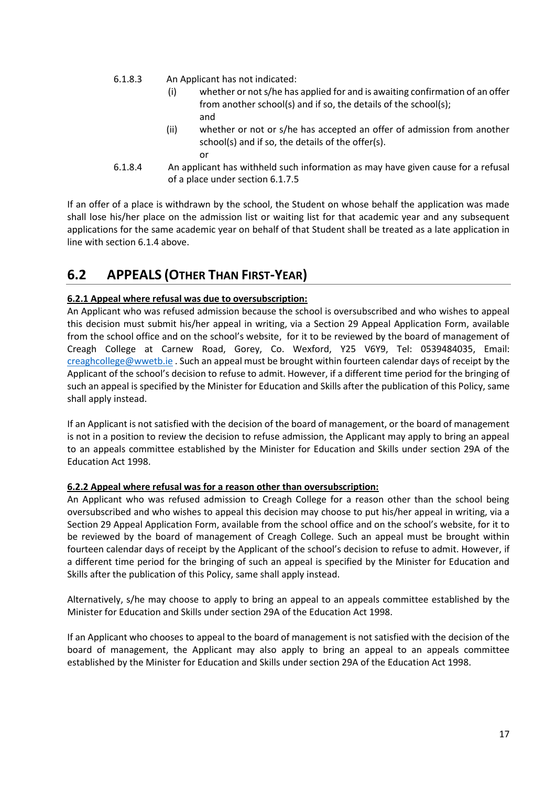- 6.1.8.3 An Applicant has not indicated:
	- (i) whether or not s/he has applied for and is awaiting confirmation of an offer from another school(s) and if so, the details of the school(s); and
	- (ii) whether or not or s/he has accepted an offer of admission from another school(s) and if so, the details of the offer(s). or
- 6.1.8.4 An applicant has withheld such information as may have given cause for a refusal of a place under section 6.1.7.5

If an offer of a place is withdrawn by the school, the Student on whose behalf the application was made shall lose his/her place on the admission list or waiting list for that academic year and any subsequent applications for the same academic year on behalf of that Student shall be treated as a late application in line with section 6.1.4 above.

## **6.2 APPEALS (OTHER THAN FIRST-YEAR)**

#### **6.2.1 Appeal where refusal was due to oversubscription:**

An Applicant who was refused admission because the school is oversubscribed and who wishes to appeal this decision must submit his/her appeal in writing, via a Section 29 Appeal Application Form, available from the school office and on the school's website, for it to be reviewed by the board of management of Creagh College at Carnew Road, Gorey, Co. Wexford, Y25 V6Y9, Tel: 0539484035, Email: [creaghcollege@wwetb.ie](mailto:creaghcollege@wwetb.ie) . Such an appeal must be brought within fourteen calendar days of receipt by the Applicant of the school's decision to refuse to admit. However, if a different time period for the bringing of such an appeal is specified by the Minister for Education and Skills after the publication of this Policy, same shall apply instead.

If an Applicant is not satisfied with the decision of the board of management, or the board of management is not in a position to review the decision to refuse admission, the Applicant may apply to bring an appeal to an appeals committee established by the Minister for Education and Skills under section 29A of the Education Act 1998.

#### **6.2.2 Appeal where refusal was for a reason other than oversubscription:**

An Applicant who was refused admission to Creagh College for a reason other than the school being oversubscribed and who wishes to appeal this decision may choose to put his/her appeal in writing, via a Section 29 Appeal Application Form, available from the school office and on the school's website, for it to be reviewed by the board of management of Creagh College. Such an appeal must be brought within fourteen calendar days of receipt by the Applicant of the school's decision to refuse to admit. However, if a different time period for the bringing of such an appeal is specified by the Minister for Education and Skills after the publication of this Policy, same shall apply instead.

Alternatively, s/he may choose to apply to bring an appeal to an appeals committee established by the Minister for Education and Skills under section 29A of the Education Act 1998.

If an Applicant who chooses to appeal to the board of management is not satisfied with the decision of the board of management, the Applicant may also apply to bring an appeal to an appeals committee established by the Minister for Education and Skills under section 29A of the Education Act 1998.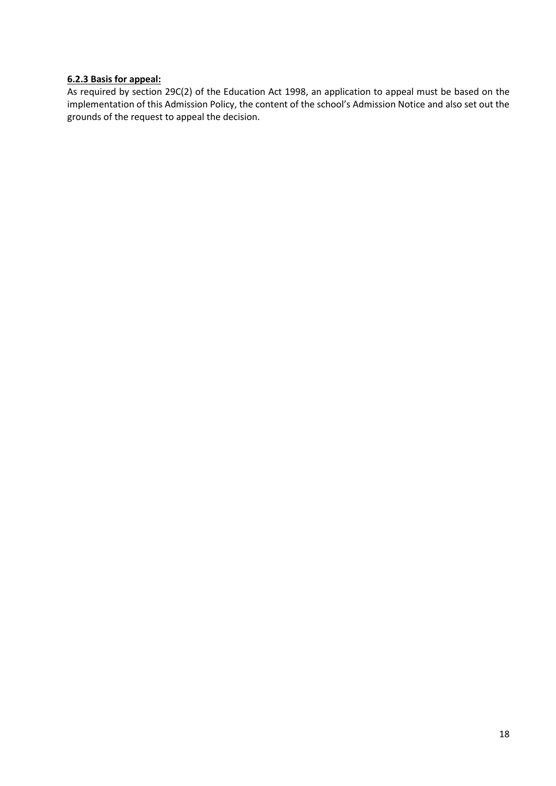#### **6.2.3 Basis for appeal:**

As required by section 29C(2) of the Education Act 1998, an application to appeal must be based on the implementation of this Admission Policy, the content of the school's Admission Notice and also set out the grounds of the request to appeal the decision.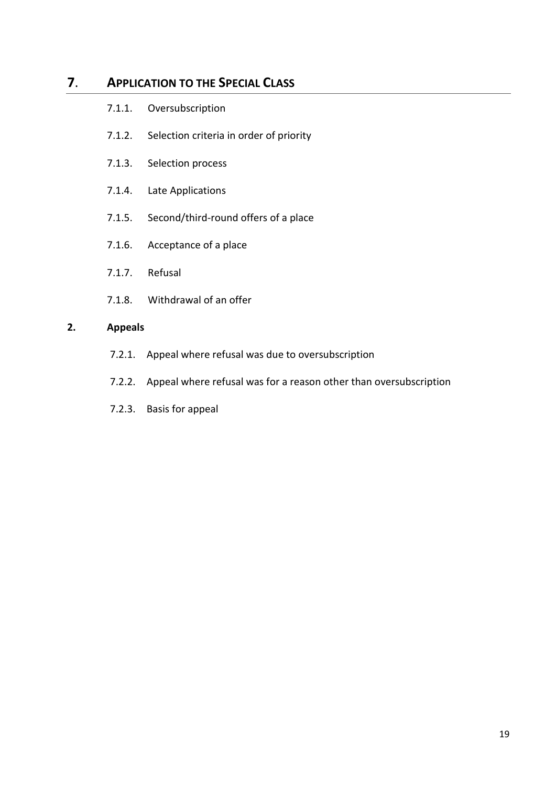### **7**. **APPLICATION TO THE SPECIAL CLASS**

- 7.1.1. Oversubscription
- 7.1.2. Selection criteria in order of priority
- 7.1.3. Selection process
- 7.1.4. Late Applications
- 7.1.5. Second/third-round offers of a place
- 7.1.6. Acceptance of a place
- 7.1.7. Refusal
- 7.1.8. Withdrawal of an offer

#### **2. Appeals**

- 7.2.1. Appeal where refusal was due to oversubscription
- 7.2.2. Appeal where refusal was for a reason other than oversubscription
- 7.2.3. Basis for appeal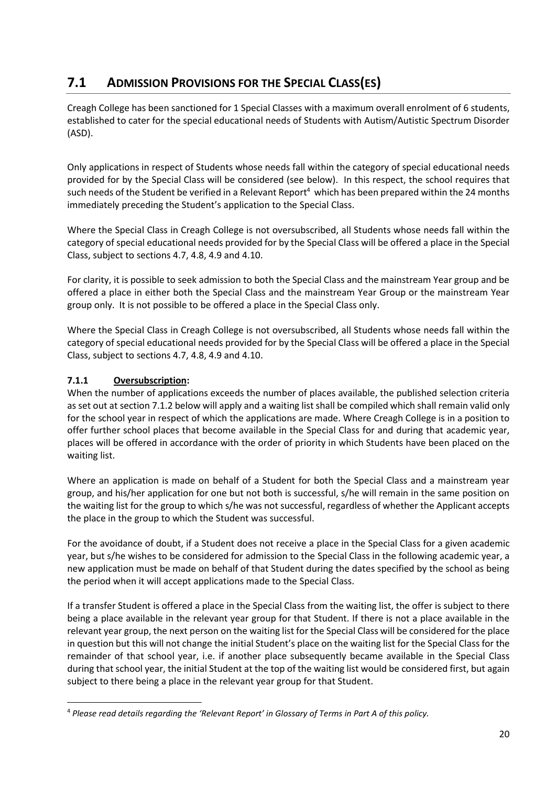## **7.1 ADMISSION PROVISIONS FOR THE SPECIAL CLASS(ES)**

Creagh College has been sanctioned for 1 Special Classes with a maximum overall enrolment of 6 students, established to cater for the special educational needs of Students with Autism/Autistic Spectrum Disorder (ASD).

Only applications in respect of Students whose needs fall within the category of special educational needs provided for by the Special Class will be considered (see below). In this respect, the school requires that such needs of the Student be verified in a Relevant Report<sup>4</sup> which has been prepared within the 24 months immediately preceding the Student's application to the Special Class.

Where the Special Class in Creagh College is not oversubscribed, all Students whose needs fall within the category of special educational needs provided for by the Special Class will be offered a place in the Special Class, subject to sections 4.7, 4.8, 4.9 and 4.10.

For clarity, it is possible to seek admission to both the Special Class and the mainstream Year group and be offered a place in either both the Special Class and the mainstream Year Group or the mainstream Year group only. It is not possible to be offered a place in the Special Class only.

Where the Special Class in Creagh College is not oversubscribed, all Students whose needs fall within the category of special educational needs provided for by the Special Class will be offered a place in the Special Class, subject to sections 4.7, 4.8, 4.9 and 4.10.

#### **7.1.1 Oversubscription:**

When the number of applications exceeds the number of places available, the published selection criteria as set out at section 7.1.2 below will apply and a waiting list shall be compiled which shall remain valid only for the school year in respect of which the applications are made. Where Creagh College is in a position to offer further school places that become available in the Special Class for and during that academic year, places will be offered in accordance with the order of priority in which Students have been placed on the waiting list.

Where an application is made on behalf of a Student for both the Special Class and a mainstream year group, and his/her application for one but not both is successful, s/he will remain in the same position on the waiting list for the group to which s/he was not successful, regardless of whether the Applicant accepts the place in the group to which the Student was successful.

For the avoidance of doubt, if a Student does not receive a place in the Special Class for a given academic year, but s/he wishes to be considered for admission to the Special Class in the following academic year, a new application must be made on behalf of that Student during the dates specified by the school as being the period when it will accept applications made to the Special Class.

If a transfer Student is offered a place in the Special Class from the waiting list, the offer is subject to there being a place available in the relevant year group for that Student. If there is not a place available in the relevant year group, the next person on the waiting list for the Special Class will be considered for the place in question but this will not change the initial Student's place on the waiting list for the Special Class for the remainder of that school year, i.e. if another place subsequently became available in the Special Class during that school year, the initial Student at the top of the waiting list would be considered first, but again subject to there being a place in the relevant year group for that Student.

<sup>4</sup> *Please read details regarding the 'Relevant Report' in Glossary of Terms in Part A of this policy.*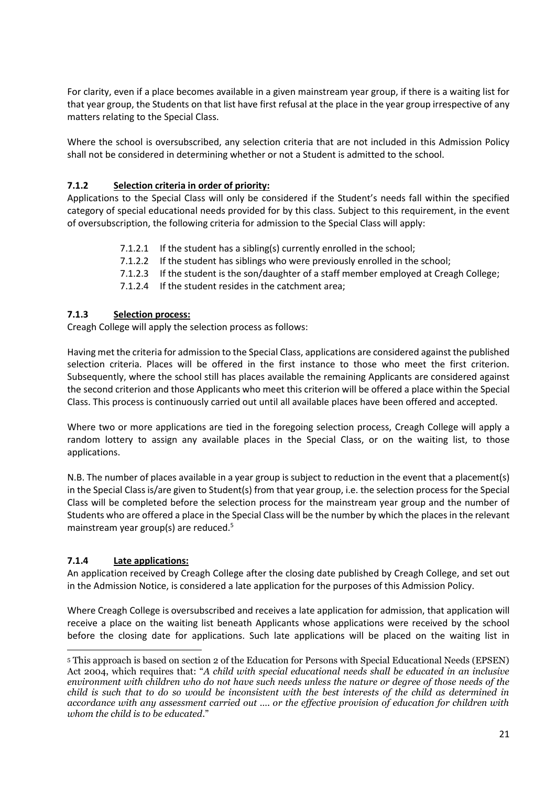For clarity, even if a place becomes available in a given mainstream year group, if there is a waiting list for that year group, the Students on that list have first refusal at the place in the year group irrespective of any matters relating to the Special Class.

Where the school is oversubscribed, any selection criteria that are not included in this Admission Policy shall not be considered in determining whether or not a Student is admitted to the school.

#### **7.1.2 Selection criteria in order of priority:**

Applications to the Special Class will only be considered if the Student's needs fall within the specified category of special educational needs provided for by this class. Subject to this requirement, in the event of oversubscription, the following criteria for admission to the Special Class will apply:

- 7.1.2.1 If the student has a sibling(s) currently enrolled in the school;
- 7.1.2.2 If the student has siblings who were previously enrolled in the school;
- 7.1.2.3 If the student is the son/daughter of a staff member employed at Creagh College;
- 7.1.2.4 If the student resides in the catchment area;

#### **7.1.3 Selection process:**

Creagh College will apply the selection process as follows:

Having met the criteria for admission to the Special Class, applications are considered against the published selection criteria. Places will be offered in the first instance to those who meet the first criterion. Subsequently, where the school still has places available the remaining Applicants are considered against the second criterion and those Applicants who meet this criterion will be offered a place within the Special Class. This process is continuously carried out until all available places have been offered and accepted.

Where two or more applications are tied in the foregoing selection process, Creagh College will apply a random lottery to assign any available places in the Special Class, or on the waiting list, to those applications.

N.B. The number of places available in a year group is subject to reduction in the event that a placement(s) in the Special Class is/are given to Student(s) from that year group, i.e. the selection process for the Special Class will be completed before the selection process for the mainstream year group and the number of Students who are offered a place in the Special Class will be the number by which the places in the relevant mainstream year group(s) are reduced.<sup>5</sup>

#### **7.1.4 Late applications:**

An application received by Creagh College after the closing date published by Creagh College, and set out in the Admission Notice, is considered a late application for the purposes of this Admission Policy.

Where Creagh College is oversubscribed and receives a late application for admission, that application will receive a place on the waiting list beneath Applicants whose applications were received by the school before the closing date for applications. Such late applications will be placed on the waiting list in

<sup>5</sup> This approach is based on section 2 of the Education for Persons with Special Educational Needs (EPSEN) Act 2004, which requires that: "*A child with special educational needs shall be educated in an inclusive environment with children who do not have such needs unless the nature or degree of those needs of the child is such that to do so would be inconsistent with the best interests of the child as determined in accordance with any assessment carried out …. or the effective provision of education for children with whom the child is to be educated*."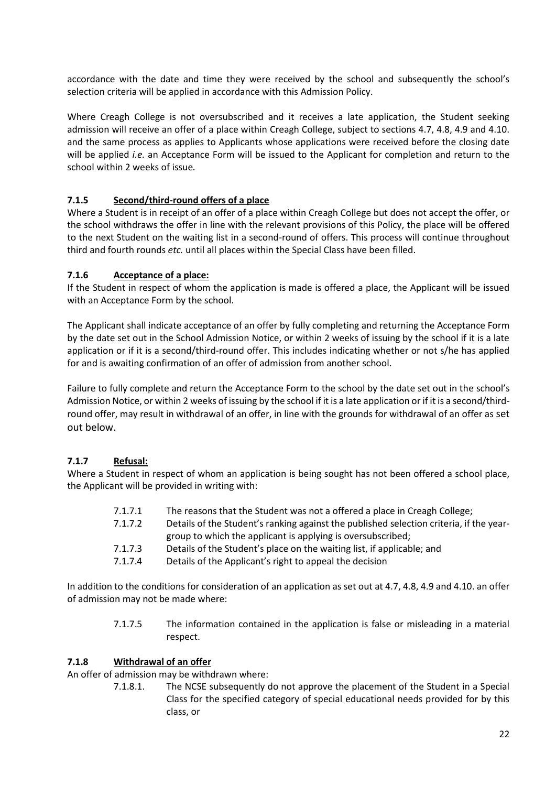accordance with the date and time they were received by the school and subsequently the school's selection criteria will be applied in accordance with this Admission Policy.

Where Creagh College is not oversubscribed and it receives a late application, the Student seeking admission will receive an offer of a place within Creagh College, subject to sections 4.7, 4.8, 4.9 and 4.10. and the same process as applies to Applicants whose applications were received before the closing date will be applied *i.e.* an Acceptance Form will be issued to the Applicant for completion and return to the school within 2 weeks of issue*.* 

#### **7.1.5 Second/third-round offers of a place**

Where a Student is in receipt of an offer of a place within Creagh College but does not accept the offer, or the school withdraws the offer in line with the relevant provisions of this Policy, the place will be offered to the next Student on the waiting list in a second-round of offers. This process will continue throughout third and fourth rounds *etc.* until all places within the Special Class have been filled.

#### **7.1.6 Acceptance of a place:**

If the Student in respect of whom the application is made is offered a place, the Applicant will be issued with an Acceptance Form by the school.

The Applicant shall indicate acceptance of an offer by fully completing and returning the Acceptance Form by the date set out in the School Admission Notice, or within 2 weeks of issuing by the school if it is a late application or if it is a second/third-round offer. This includes indicating whether or not s/he has applied for and is awaiting confirmation of an offer of admission from another school.

Failure to fully complete and return the Acceptance Form to the school by the date set out in the school's Admission Notice, or within 2 weeks of issuing by the school if it is a late application or if it is a second/thirdround offer, may result in withdrawal of an offer, in line with the grounds for withdrawal of an offer as set out below.

#### **7.1.7 Refusal:**

Where a Student in respect of whom an application is being sought has not been offered a school place, the Applicant will be provided in writing with:

- 7.1.7.1 The reasons that the Student was not a offered a place in Creagh College;
- 7.1.7.2 Details of the Student's ranking against the published selection criteria, if the yeargroup to which the applicant is applying is oversubscribed;
- 7.1.7.3 Details of the Student's place on the waiting list, if applicable; and
- 7.1.7.4 Details of the Applicant's right to appeal the decision

In addition to the conditions for consideration of an application as set out at 4.7, 4.8, 4.9 and 4.10. an offer of admission may not be made where:

> 7.1.7.5 The information contained in the application is false or misleading in a material respect.

#### **7.1.8 Withdrawal of an offer**

An offer of admission may be withdrawn where:

7.1.8.1. The NCSE subsequently do not approve the placement of the Student in a Special Class for the specified category of special educational needs provided for by this class, or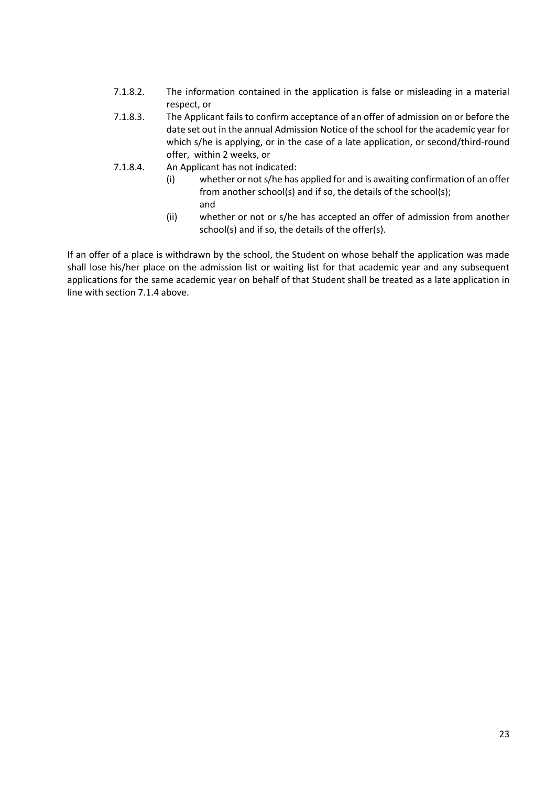- 7.1.8.2. The information contained in the application is false or misleading in a material respect, or
- 7.1.8.3. The Applicant fails to confirm acceptance of an offer of admission on or before the date set out in the annual Admission Notice of the school for the academic year for which s/he is applying, or in the case of a late application, or second/third-round offer, within 2 weeks, or
- 7.1.8.4. An Applicant has not indicated:
	- (i) whether or not s/he has applied for and is awaiting confirmation of an offer from another school(s) and if so, the details of the school(s); and
	- (ii) whether or not or s/he has accepted an offer of admission from another school(s) and if so, the details of the offer(s).

If an offer of a place is withdrawn by the school, the Student on whose behalf the application was made shall lose his/her place on the admission list or waiting list for that academic year and any subsequent applications for the same academic year on behalf of that Student shall be treated as a late application in line with section 7.1.4 above.